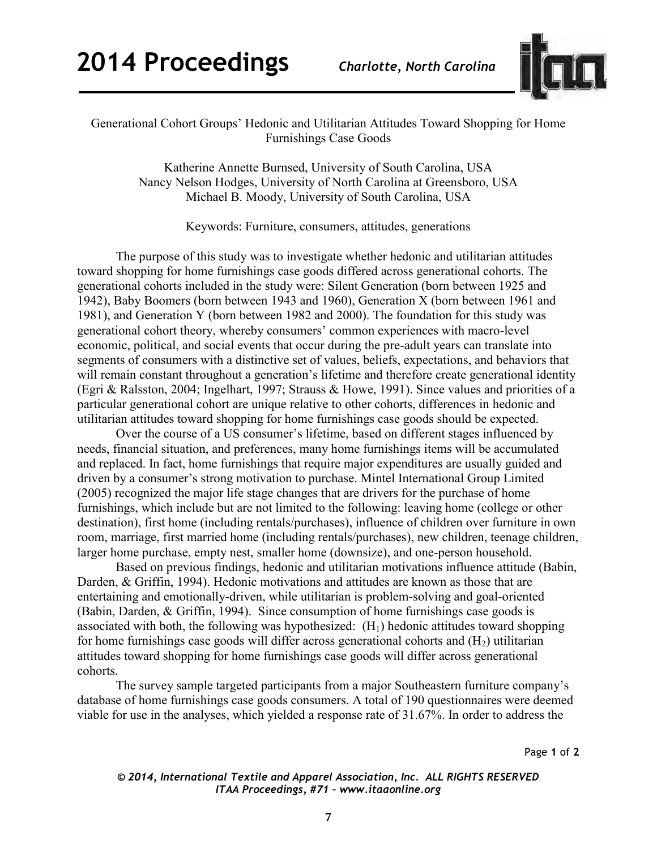

## Generational Cohort Groups' Hedonic and Utilitarian Attitudes Toward Shopping for Home Furnishings Case Goods

Katherine Annette Burnsed, University of South Carolina, USA Nancy Nelson Hodges, University of North Carolina at Greensboro, USA Michael B. Moody, University of South Carolina, USA

Keywords: Furniture, consumers, attitudes, generations

The purpose of this study was to investigate whether hedonic and utilitarian attitudes toward shopping for home furnishings case goods differed across generational cohorts. The generational cohorts included in the study were: Silent Generation (born between 1925 and 1942), Baby Boomers (born between 1943 and 1960), Generation X (born between 1961 and 1981), and Generation Y (born between 1982 and 2000). The foundation for this study was generational cohort theory, whereby consumers' common experiences with macro-level economic, political, and social events that occur during the pre-adult years can translate into segments of consumers with a distinctive set of values, beliefs, expectations, and behaviors that will remain constant throughout a generation's lifetime and therefore create generational identity (Egri & Ralsston, 2004; Ingelhart, 1997; Strauss & Howe, 1991). Since values and priorities of a particular generational cohort are unique relative to other cohorts, differences in hedonic and utilitarian attitudes toward shopping for home furnishings case goods should be expected.

Over the course of a US consumer's lifetime, based on different stages influenced by needs, financial situation, and preferences, many home furnishings items will be accumulated and replaced. In fact, home furnishings that require major expenditures are usually guided and driven by a consumer's strong motivation to purchase. Mintel International Group Limited (2005) recognized the major life stage changes that are drivers for the purchase of home furnishings, which include but are not limited to the following: leaving home (college or other destination), first home (including rentals/purchases), influence of children over furniture in own room, marriage, first married home (including rentals/purchases), new children, teenage children, larger home purchase, empty nest, smaller home (downsize), and one-person household.

Based on previous findings, hedonic and utilitarian motivations influence attitude (Babin, Darden, & Griffin, 1994). Hedonic motivations and attitudes are known as those that are entertaining and emotionally-driven, while utilitarian is problem-solving and goal-oriented (Babin, Darden, & Griffin, 1994). Since consumption of home furnishings case goods is associated with both, the following was hypothesized:  $(H<sub>1</sub>)$  hedonic attitudes toward shopping for home furnishings case goods will differ across generational cohorts and  $(H<sub>2</sub>)$  utilitarian attitudes toward shopping for home furnishings case goods will differ across generational cohorts.

The survey sample targeted participants from a major Southeastern furniture company's database of home furnishings case goods consumers. A total of 190 questionnaires were deemed viable for use in the analyses, which yielded a response rate of 31.67%. In order to address the

Page **1** of **2** 

*© 2014, International Textile and Apparel Association, Inc. ALL RIGHTS RESERVED ITAA Proceedings, #71 – www.itaaonline.org*